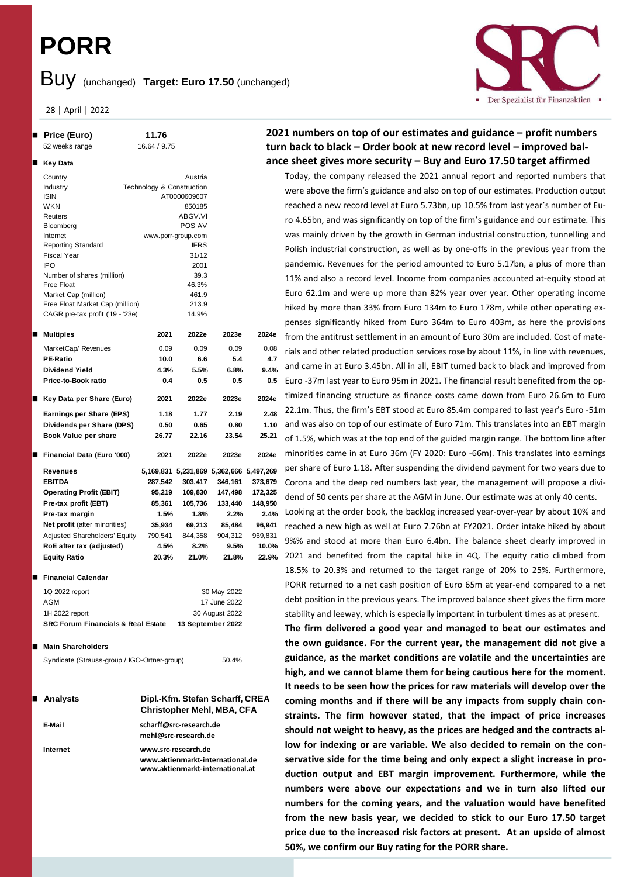# **PORR**

# Buy (unchanged) **Target: Euro 17.50** (unchanged)

28 | April | 2022

## **Price (Euro) 11.76**

```
52 weeks range 16.64 / 9.75
  Key Data
 Country Austria
 Industry Technology & Construction
 ISIN AT0000609607
 WKN 850185
 Reuters ABGV.VI
 Bloomberg Bloomberg POS AV
 Internet www.porr-group.com
 Reporting Standard IFRS
 Fiscal Year 31/12
 IPO 2001
 Number of shares (million) 39.3
 Free Float 46.3%
 Market Cap (million) 461.9
 Free Float Market Cap (million) 213.9
 CAGR pre-tax profit ('19 - '23e) 14.9%
  Multiples 2021 2022e 2023e 2024e
 MarketCap/ Revenues 0.09 0.09 0.09 0.08
 PE-Ratio 10.0 6.6 5.4 4.7
 Dividend Yield 4.3% 5.5% 6.8% 9.4%
 Price-to-Book ratio 0.4 0.5 0.5 0.5
  Key Data per Share (Euro) 2021 2022e 2023e 2024e
 Earnings per Share (EPS) 1.18 1.77 2.19 2.48
 Dividends per Share (DPS) 0.50 0.65 0.80 1.10
 Book Value per share 26.77 22.16 23.54 25.21
n Financial Data (Euro '000) 2021 2022e 2023e 2024e
 Revenues 5,169,831 5,231,869 5,362,666 5,497,269
 EBITDA 287,542 303,417 346,161 373,679
 Operating Profit (EBIT) 95,219 109,830 147,498 172,325
 Pre-tax profit (EBT) 85,361 105,736 133,440 148,950
 Pre-tax margin 1.5% 1.8% 2.2% 2.4%
 Net profit (after minorities) 35,934 69,213 85,484 96,941
 Adjusted Shareholders' Equity 790,541 844,358 904,312 969,831
 RoE after tax (adjusted) 4.5% 8.2% 9.5% 10.0%
 Equity Ratio 20.3% 21.0% 21.8% 22.9%
■ Financial Calendar
 1Q 2022 report 30 May 2022
 AGM 17 June 2022
```

| <b>SRC Forum Financials &amp; Real Estate</b> | 13 September 2022 |
|-----------------------------------------------|-------------------|
| 1H 2022 report                                | 30 August 2022    |
| AGM                                           | 17 June 2022      |

#### ■ Main Shareholders

|  |  | Syndicate (Strauss-group / IGO-Ortner-group) | 50.4% |
|--|--|----------------------------------------------|-------|
|--|--|----------------------------------------------|-------|

| ∎ Analysts | Dipl.-Kfm. Stefan Scharff, CREA<br><b>Christopher Mehl, MBA, CFA</b>                        |
|------------|---------------------------------------------------------------------------------------------|
| E-Mail     | scharff@src-research.de<br>mehl@src-research.de                                             |
| Internet   | www.src-research.de<br>www.aktienmarkt-international.de<br>www.aktienmarkt-international.at |

### **2021 numbers on top of our estimates and guidance – profit numbers turn back to black – Order book at new record level – improved balance sheet gives more security – Buy and Euro 17.50 target affirmed**

Today, the company released the 2021 annual report and reported numbers that were above the firm's guidance and also on top of our estimates. Production output reached a new record level at Euro 5.73bn, up 10.5% from last year's number of Euro 4.65bn, and was significantly on top of the firm's guidance and our estimate. This was mainly driven by the growth in German industrial construction, tunnelling and Polish industrial construction, as well as by one-offs in the previous year from the pandemic. Revenues for the period amounted to Euro 5.17bn, a plus of more than 11% and also a record level. Income from companies accounted at-equity stood at Euro 62.1m and were up more than 82% year over year. Other operating income hiked by more than 33% from Euro 134m to Euro 178m, while other operating expenses significantly hiked from Euro 364m to Euro 403m, as here the provisions from the antitrust settlement in an amount of Euro 30m are included. Cost of materials and other related production services rose by about 11%, in line with revenues, and came in at Euro 3.45bn. All in all, EBIT turned back to black and improved from Euro -37m last year to Euro 95m in 2021. The financial result benefited from the optimized financing structure as finance costs came down from Euro 26.6m to Euro 22.1m. Thus, the firm's EBT stood at Euro 85.4m compared to last year's Euro -51m and was also on top of our estimate of Euro 71m. This translates into an EBT margin of 1.5%, which was at the top end of the guided margin range. The bottom line after minorities came in at Euro 36m (FY 2020: Euro -66m). This translates into earnings per share of Euro 1.18. After suspending the dividend payment for two years due to Corona and the deep red numbers last year, the management will propose a dividend of 50 cents per share at the AGM in June. Our estimate was at only 40 cents.

Looking at the order book, the backlog increased year-over-year by about 10% and reached a new high as well at Euro 7.76bn at FY2021. Order intake hiked by about 9%% and stood at more than Euro 6.4bn. The balance sheet clearly improved in 2021 and benefited from the capital hike in 4Q. The equity ratio climbed from 18.5% to 20.3% and returned to the target range of 20% to 25%. Furthermore, PORR returned to a net cash position of Euro 65m at year-end compared to a net debt position in the previous years. The improved balance sheet gives the firm more stability and leeway, which is especially important in turbulent times as at present.

**The firm delivered a good year and managed to beat our estimates and the own guidance. For the current year, the management did not give a guidance, as the market conditions are volatile and the uncertainties are high, and we cannot blame them for being cautious here for the moment. It needs to be seen how the prices for raw materials will develop over the coming months and if there will be any impacts from supply chain constraints. The firm however stated, that the impact of price increases should not weight to heavy, as the prices are hedged and the contracts allow for indexing or are variable. We also decided to remain on the conservative side for the time being and only expect a slight increase in production output and EBT margin improvement. Furthermore, while the numbers were above our expectations and we in turn also lifted our numbers for the coming years, and the valuation would have benefited from the new basis year, we decided to stick to our Euro 17.50 target price due to the increased risk factors at present. At an upside of almost 50%, we confirm our Buy rating for the PORR share.**

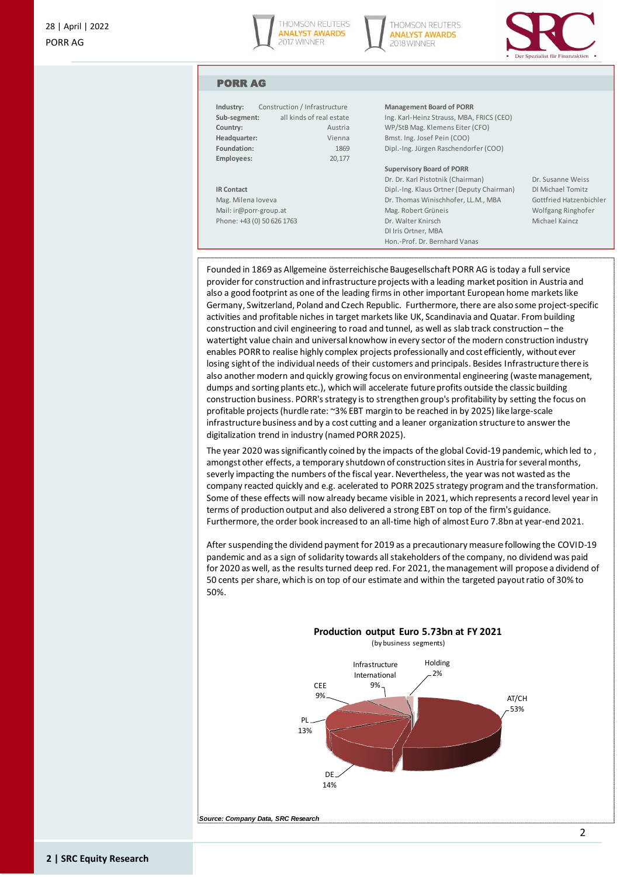





#### PORR AG

| Industry:              | Construction / Infrastructure | <b>Management Board of PORR</b>           |  |
|------------------------|-------------------------------|-------------------------------------------|--|
| Sub-segment:           | all kinds of real estate      | Ing. Karl-Heinz Strauss, MBA, FRICS (CEO) |  |
| Country:               | Austria                       | WP/StB Mag. Klemens Eiter (CFO)           |  |
| Headquarter:           | Vienna                        | Bmst. Ing. Josef Pein (COO)               |  |
| Foundation:            | 1869                          | Dipl.-Ing. Jürgen Raschendorfer (COO)     |  |
| Employees:             | 20,177                        |                                           |  |
|                        |                               | <b>Supervisory Board of PORR</b>          |  |
|                        |                               | Dr. Dr. Karl Pistotnik (Chairman)         |  |
| <b>IR Contact</b>      |                               | Dipl.-Ing. Klaus Ortner (Deputy Chairman) |  |
| Mag. Milena loveva     |                               | Dr. Thomas Winischhofer, LL.M., MBA       |  |
| Mail: ir@porr-group.at |                               | Mag. Robert Grüneis                       |  |
|                        | Phone: +43 (0) 50 626 1763    | Dr. Walter Knirsch                        |  |
|                        |                               | DI Iris Ortner, MBA                       |  |
|                        |                               | Hon.-Prof. Dr. Bernhard Vanas             |  |

Dr. Susanne Weiss **IR Contact** Dipl.<br>-Gottfried Hatzenbichler Wolfgang Ringhofer Michael Kaincz

Founded in 1869 as Allgemeine österreichische Baugesellschaft PORR AG is today a full service provider for construction and infrastructure projects with a leading market position in Austria and also a good footprint as one of the leading firms in other important European home markets like Germany, Switzerland, Poland and Czech Republic. Furthermore, there are also some project-specific activities and profitable niches in target markets like UK, Scandinavia and Quatar. From building construction and civil engineering to road and tunnel, as well as slab track construction – the watertight value chain and universal knowhow in every sector of the modern construction industry enables PORR to realise highly complex projects professionally and cost efficiently, without ever losing sight of the individual needs of their customers and principals. Besides Infrastructure there is also another modern and quickly growing focus on environmental engineering (waste management, dumps and sorting plants etc.), which will accelerate future profits outside the classic building construction business. PORR's strategy is to strengthen group's profitability by setting the focus on profitable projects (hurdle rate: ~3% EBT margin to be reached in by 2025) like large-scale infrastructure business and by a cost cutting and a leaner organization structure to answer the digitalization trend in industry (named PORR 2025).

The year 2020 was significantly coined by the impacts of the global Covid-19 pandemic, which led to , amongst other effects, a temporary shutdown of construction sites in Austria for several months, severly impacting the numbers of the fiscal year. Nevertheless, the year was not wasted as the company reacted quickly and e.g. acelerated to PORR 2025 strategy program and the transformation. Some of these effects will now already became visible in 2021, which represents a record level year in terms of production output and also delivered a strong EBT on top of the firm's guidance. Furthermore, the order book increased to an all-time high of almost Euro 7.8bn at year-end 2021.

After suspending the dividend payment for 2019 as a precautionary measure following the COVID-19 pandemic and as a sign of solidarity towards all stakeholders of the company, no dividend was paid for 2020 as well, as the results turned deep red. For 2021, the management will propose a dividend of 50 cents per share, which is on top of our estimate and within the targeted payout ratio of 30% to 50%.



*Source: Company Data, SRC Research*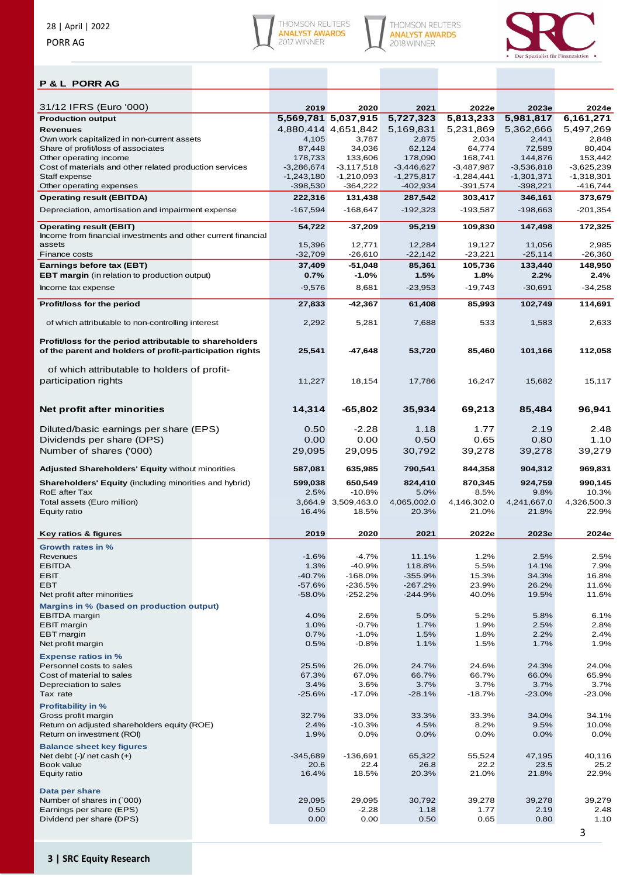





## **P & L PORR AG**

| 31/12 IFRS (Euro '000)                                                                                              | 2019            | 2020                    | 2021                | 2022e               | 2023e               | 2024e                |
|---------------------------------------------------------------------------------------------------------------------|-----------------|-------------------------|---------------------|---------------------|---------------------|----------------------|
| <b>Production output</b>                                                                                            |                 | 5,569,781 5,037,915     | 5,727,323           | 5,813,233           | 5,981,817           | 6,161,271            |
| <b>Revenues</b>                                                                                                     |                 | 4,880,414 4,651,842     | 5,169,831           | 5,231,869           | 5,362,666           | 5,497,269            |
| Own work capitalized in non-current assets                                                                          | 4,105           | 3,787                   | 2,875               | 2,034               | 2,441               | 2,848                |
| Share of profit/loss of associates                                                                                  | 87,448          | 34,036                  | 62,124              | 64,774              | 72,589              | 80,404               |
| Other operating income                                                                                              | 178,733         | 133,606                 | 178,090             | 168,741             | 144,876             | 153,442              |
| Cost of materials and other related production services                                                             | $-3,286,674$    | $-3,117,518$            | -3,446,627          | $-3,487,987$        | $-3,536,818$        | $-3,625,239$         |
| Staff expense                                                                                                       | $-1,243,180$    | $-1,210,093$            | $-1,275,817$        | $-1,284,441$        | $-1,301,371$        | $-1,318,301$         |
| Other operating expenses                                                                                            | $-398,530$      | $-364,222$              | $-402,934$          | -391,574            | $-398,221$          | $-416,744$           |
| <b>Operating result (EBITDA)</b>                                                                                    | 222,316         | 131,438                 | 287,542             | 303,417             | 346,161             | 373,679              |
| Depreciation, amortisation and impairment expense                                                                   | $-167,594$      | $-168,647$              | $-192,323$          | $-193,587$          | $-198,663$          | $-201,354$           |
| <b>Operating result (EBIT)</b>                                                                                      | 54,722          | $-37,209$               | 95,219              | 109,830             | 147,498             | 172,325              |
| Income from financial investments and other current financial                                                       |                 |                         |                     |                     |                     |                      |
| assets                                                                                                              | 15,396          | 12,771                  | 12,284              | 19,127              | 11,056              | 2,985                |
| Finance costs                                                                                                       | $-32,709$       | $-26,610$               | $-22,142$           | $-23,221$           | $-25,114$           | -26,360              |
| Earnings before tax (EBT)                                                                                           | 37,409          | $-51,048$               | 85,361              | 105,736             | 133,440             | 148,950              |
| <b>EBT margin</b> (in relation to production output)                                                                | 0.7%            | $-1.0%$                 | 1.5%                | 1.8%                | 2.2%                | 2.4%                 |
| Income tax expense                                                                                                  | $-9,576$        | 8,681                   | $-23,953$           | $-19,743$           | $-30,691$           | $-34,258$            |
| Profit/loss for the period                                                                                          | 27,833          | -42,367                 | 61,408              | 85,993              | 102,749             | 114,691              |
|                                                                                                                     |                 |                         |                     |                     |                     |                      |
| of which attributable to non-controlling interest                                                                   | 2,292           | 5,281                   | 7,688               | 533                 | 1,583               | 2,633                |
| Profit/loss for the period attributable to shareholders<br>of the parent and holders of profit-participation rights | 25,541          | -47,648                 | 53,720              | 85,460              | 101,166             | 112,058              |
| of which attributable to holders of profit-                                                                         |                 |                         |                     |                     |                     |                      |
| participation rights                                                                                                | 11,227          | 18,154                  | 17,786              | 16,247              | 15,682              | 15,117               |
| Net profit after minorities                                                                                         | 14,314          | $-65,802$               | 35,934              | 69,213              | 85,484              | 96,941               |
| Diluted/basic earnings per share (EPS)                                                                              | 0.50            | $-2.28$                 | 1.18                | 1.77                | 2.19                | 2.48                 |
| Dividends per share (DPS)                                                                                           | 0.00            | 0.00                    | 0.50                | 0.65                | 0.80                | 1.10                 |
| Number of shares ('000)                                                                                             | 29,095          | 29,095                  | 30,792              | 39,278              | 39,278              | 39,279               |
|                                                                                                                     |                 |                         |                     |                     |                     |                      |
| Adjusted Shareholders' Equity without minorities                                                                    | 587,081         | 635,985                 | 790,541             | 844,358             | 904,312             | 969,831              |
|                                                                                                                     |                 |                         |                     |                     |                     |                      |
| <b>Shareholders' Equity (including minorities and hybrid)</b><br>RoE after Tax                                      | 599,038         | 650,549                 | 824,410             | 870,345             | 924,759             | 990,145              |
| Total assets (Euro million)                                                                                         | 2.5%<br>3,664.9 | $-10.8%$<br>3,509,463.0 | 5.0%<br>4,065,002.0 | 8.5%<br>4,146,302.0 | 9.8%<br>4,241,667.0 | 10.3%<br>4,326,500.3 |
| Equity ratio                                                                                                        | 16.4%           | 18.5%                   | 20.3%               | 21.0%               | 21.8%               | 22.9%                |
|                                                                                                                     |                 |                         |                     |                     |                     |                      |
| <b>Key ratios &amp; figures</b>                                                                                     | 2019            | 2020                    | 2021                | 2022e               | 2023e               | 2024e                |
| Growth rates in %                                                                                                   |                 |                         |                     |                     |                     |                      |
| Revenues                                                                                                            | $-1.6%$         | $-4.7%$                 | 11.1%               | 1.2%                | 2.5%                | 2.5%                 |
| EBIIDA                                                                                                              | 1.3%            | -40.9%                  | 118.8%              | $5.5\%$             | 14.1%               | $7.9\%$              |
| EBIT                                                                                                                | $-40.7%$        | $-168.0%$               | $-355.9%$           | 15.3%               | 34.3%               | 16.8%                |
| EBT                                                                                                                 | $-57.6%$        | $-236.5%$<br>$-252.2%$  | $-267.2%$           | 23.9%               | 26.2%               | 11.6%                |
| Net profit after minorities                                                                                         | $-58.0%$        |                         | $-244.9%$           | 40.0%               | 19.5%               | 11.6%                |
| Margins in % (based on production output)                                                                           |                 |                         |                     |                     |                     |                      |
| <b>EBITDA</b> margin                                                                                                | 4.0%            | 2.6%                    | 5.0%                | 5.2%                | 5.8%                | 6.1%                 |
| <b>EBIT</b> margin                                                                                                  | 1.0%            | $-0.7%$                 | 1.7%                | 1.9%                | 2.5%                | 2.8%                 |
| EBT margin<br>Net profit margin                                                                                     | 0.7%<br>0.5%    | $-1.0%$<br>$-0.8%$      | 1.5%<br>1.1%        | 1.8%<br>1.5%        | 2.2%<br>1.7%        | 2.4%<br>1.9%         |
| <b>Expense ratios in %</b>                                                                                          |                 |                         |                     |                     |                     |                      |
| Personnel costs to sales                                                                                            | 25.5%           | 26.0%                   | 24.7%               | 24.6%               | 24.3%               | 24.0%                |
| Cost of material to sales                                                                                           | 67.3%           | 67.0%                   | 66.7%               | 66.7%               | 66.0%               | 65.9%                |
| Depreciation to sales                                                                                               | 3.4%            | 3.6%                    | 3.7%                | 3.7%                | 3.7%                | 3.7%                 |
| Tax rate                                                                                                            | $-25.6%$        | $-17.0%$                | $-28.1%$            | $-18.7%$            | $-23.0%$            | $-23.0%$             |
| <b>Profitability in %</b>                                                                                           |                 |                         |                     |                     |                     |                      |
| Gross profit margin                                                                                                 | 32.7%           | 33.0%                   | 33.3%               | 33.3%               | 34.0%               | 34.1%                |
| Return on adjusted shareholders equity (ROE)                                                                        | 2.4%            | $-10.3%$                | 4.5%                | 8.2%                | 9.5%                | 10.0%                |
| Return on investment (ROI)                                                                                          | 1.9%            | 0.0%                    | 0.0%                | 0.0%                | 0.0%                | 0.0%                 |
| <b>Balance sheet key figures</b>                                                                                    |                 |                         |                     |                     |                     |                      |
| Net debt $(-)/$ net cash $(+)$                                                                                      | $-345,689$      | $-136,691$              | 65,322              | 55,524              | 47,195              | 40,116               |
| Book value                                                                                                          | 20.6            | 22.4                    | 26.8                | 22.2                | 23.5                | 25.2                 |
| Equity ratio                                                                                                        | 16.4%           | 18.5%                   | 20.3%               | 21.0%               | 21.8%               | 22.9%                |
| Data per share                                                                                                      |                 |                         |                     |                     |                     |                      |
| Number of shares in (`000)                                                                                          | 29,095          | 29,095                  | 30,792              | 39,278              | 39,278              | 39,279               |
| Earnings per share (EPS)<br>Dividend per share (DPS)                                                                | 0.50<br>0.00    | $-2.28$<br>0.00         | 1.18<br>0.50        | 1.77<br>0.65        | 2.19<br>0.80        | 2.48<br>1.10         |